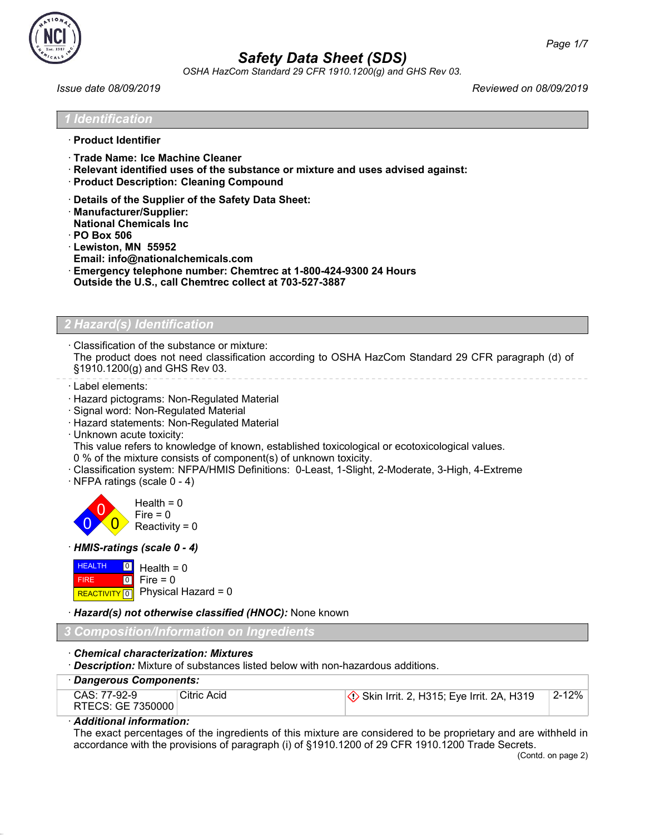

OSHA HazCom Standard 29 CFR 1910.1200(g) and GHS Rev 03.

Issue date 08/09/2019 Reviewed on 08/09/2019

'entification

- · **Product Identifier**
- · **Trade Name: Ice Machine Cleaner**
- · **Relevant identified uses of the substance or mixture and uses advised against:**
- · **Product Description: Cleaning Compound**
- · **Details of the Supplier of the Safety Data Sheet:**
- · **Manufacturer/Supplier:**
- **National Chemicals Inc**
- · **PO Box 506**
- · **Lewiston, MN 55952**
- **Email: info@nationalchemicals.com**
- · **Emergency telephone number: Chemtrec at 1-800-424-9300 24 Hours**
- **Outside the U.S., call Chemtrec collect at 703-527-3887**

### Hazard(s) Identification

· Classification of the substance or mixture:

The product does not need classification according to OSHA HazCom Standard 29 CFR paragraph (d) of §1910.1200(g) and GHS Rev 03.

- · Label elements:
- · Hazard pictograms: Non-Regulated Material
- · Signal word: Non-Regulated Material
- · Hazard statements: Non-Regulated Material
- · Unknown acute toxicity:

This value refers to knowledge of known, established toxicological or ecotoxicological values.

- 0 % of the mixture consists of component(s) of unknown toxicity.
- · Classification system: NFPA/HMIS Definitions: 0-Least, 1-Slight, 2-Moderate, 3-High, 4-Extreme
- · NFPA ratings (scale 0 4)



· HMIS-ratings (scale 0 - 4)

| $H = 0$ Health = 0 |                                          |
|--------------------|------------------------------------------|
| <b>FIRE</b>        | $\blacksquare$ o $\blacksquare$ Fire = 0 |
|                    | REACTIVITY 0 Physical Hazard = 0         |

· Hazard(s) not otherwise classified (HNOC): None known

#### 3 Composition/Information on Ingredients

- · Chemical characterization: Mixtures
- · Description: Mixture of substances listed below with non-hazardous additions.

| · Dangerous Components:           |             |                                                     |           |
|-----------------------------------|-------------|-----------------------------------------------------|-----------|
| CAS: 77-92-9<br>RTECS: GE 7350000 | Citric Acid | $\Diamond$ Skin Irrit. 2, H315; Eye Irrit. 2A, H319 | $2 - 12%$ |

#### · Additional information:

The exact percentages of the ingredients of this mixture are considered to be proprietary and are withheld in accordance with the provisions of paragraph (i) of §1910.1200 of 29 CFR 1910.1200 Trade Secrets.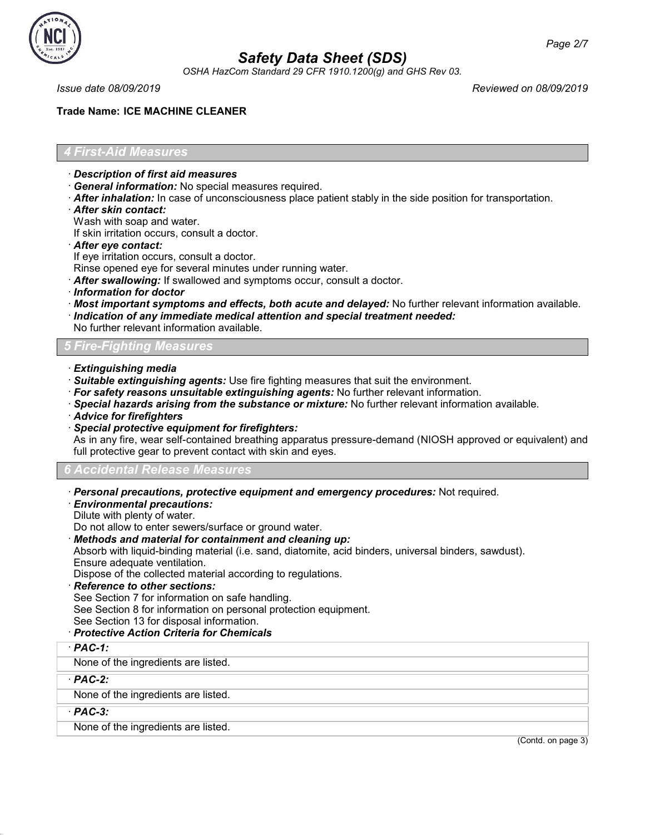

OSHA HazCom Standard 29 CFR 1910.1200(g) and GHS Rev 03.

Issue date 08/09/2019 Reviewed on 08/09/2019

### **Trade Name: ICE MACHINE CLEANER**

### 4 First-Aid Measures

- · Description of first aid measures
- · General information: No special measures required.
- $\cdot$  After inhalation: In case of unconsciousness place patient stably in the side position for transportation.
- · After skin contact:
- Wash with soap and water.

If skin irritation occurs, consult a doctor.

- · After eye contact:
- If eye irritation occurs, consult a doctor.
- Rinse opened eye for several minutes under running water.
- · After swallowing: If swallowed and symptoms occur, consult a doctor.
- · Information for doctor
- · Most important symptoms and effects, both acute and delayed: No further relevant information available.
- · Indication of any immediate medical attention and special treatment needed:
- No further relevant information available.

### 5 Fire-Fighting Measures

- · Extinguishing media
- · Suitable extinguishing agents: Use fire fighting measures that suit the environment.
- $\cdot$  For safety reasons unsuitable extinguishing agents: No further relevant information.
- · Special hazards arising from the substance or mixture: No further relevant information available.
- · Advice for firefighters
- · Special protective equipment for firefighters:

As in any fire, wear self-contained breathing apparatus pressure-demand (NIOSH approved or equivalent) and full protective gear to prevent contact with skin and eyes.

### 6 Accidental Release Measures

- · Personal precautions, protective equipment and emergency procedures: Not required.
- · Environmental precautions:

Dilute with plenty of water.

Do not allow to enter sewers/surface or ground water.

· Methods and material for containment and cleaning up:

Absorb with liquid-binding material (i.e. sand, diatomite, acid binders, universal binders, sawdust). Ensure adequate ventilation.

Dispose of the collected material according to regulations.

Reference to other sections:

See Section 7 for information on safe handling.

See Section 8 for information on personal protection equipment.

See Section 13 for disposal information.

### · Protective Action Criteria for Chemicals

· PAC-1:

None of the ingredients are listed.

· PAC-2:

None of the ingredients are listed.

 $·$  PAC-3:

49.4.1.1

None of the ingredients are listed.

(Contd. on page 3)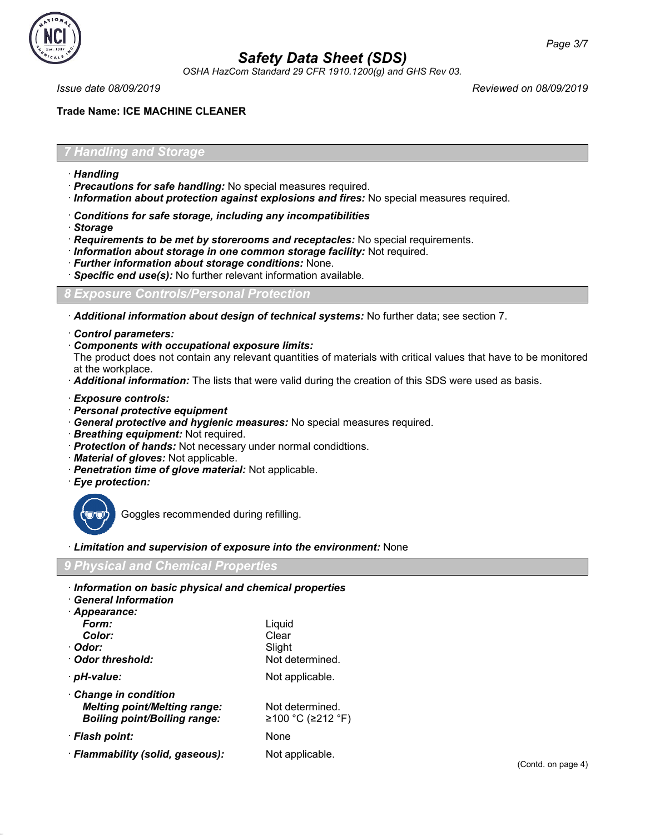

OSHA HazCom Standard 29 CFR 1910.1200(g) and GHS Rev 03.

Issue date 08/09/2019 Reviewed on 08/09/2019

### **Trade Name: ICE MACHINE CLEANER**

### 7 Handling and Storage

- · Handling
- · Precautions for safe handling: No special measures required.
- · Information about protection against explosions and fires: No special measures required.
- · Conditions for safe storage, including any incompatibilities
- · Storage
- $\cdot$  Requirements to be met by storerooms and receptacles: No special requirements.
- · Information about storage in one common storage facility: Not required.
- · Further information about storage conditions: None.
- · Specific end use(s): No further relevant information available.

8 Exposure Controls/Personal Protection

· Additional information about design of technical systems: No further data; see section 7.

- · Control parameters:
- · Components with occupational exposure limits:

The product does not contain any relevant quantities of materials with critical values that have to be monitored at the workplace.

- · Additional information: The lists that were valid during the creation of this SDS were used as basis.
- · Exposure controls:
- · Personal protective equipment
- · General protective and hygienic measures: No special measures required.
- · Breathing equipment: Not required.
- · Protection of hands: Not necessary under normal condidtions.
- · Material of gloves: Not applicable.
- · Penetration time of glove material: Not applicable.
- · Eye protection:



49.4.1.1

Goggles recommended during refilling.

· Limitation and supervision of exposure into the environment: None

### 9 Physical and Chemical Properties

- · Information on basic physical and chemical properties
- · General Information

| · Appearance:                       |                   |
|-------------------------------------|-------------------|
| Form:                               | Liquid            |
| Color:                              | Clear             |
| ∙ Odor:                             | Slight            |
| Odor threshold:                     | Not determined.   |
| · pH-value:                         | Not applicable.   |
| Change in condition                 |                   |
| <b>Melting point/Melting range:</b> | Not determined.   |
| <b>Boiling point/Boiling range:</b> | ≥100 °C (≥212 °F) |
| · Flash point:                      | <b>None</b>       |
| · Flammability (solid, gaseous):    | Not applicable.   |
|                                     |                   |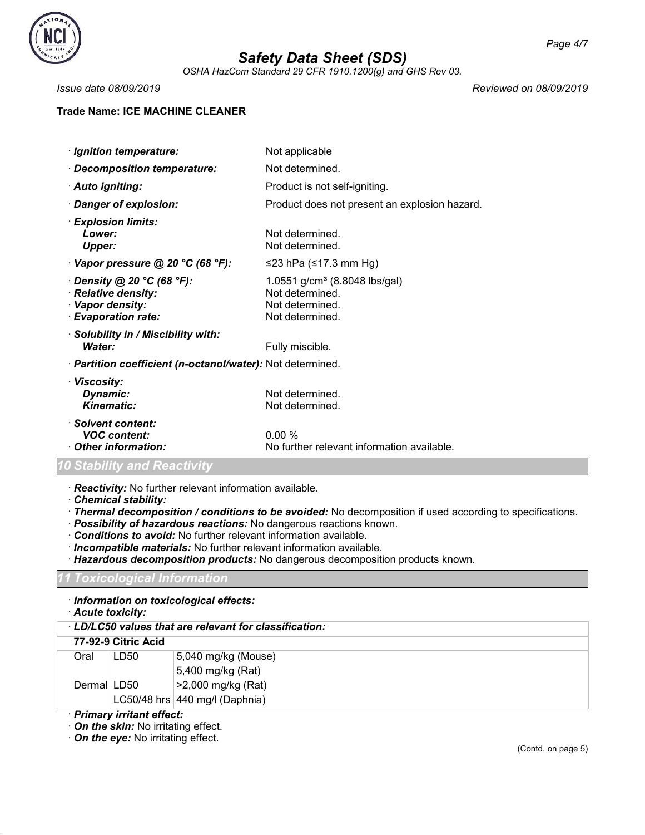

OSHA HazCom Standard 29 CFR 1910.1200(g) and GHS Rev 03.

**Trade Name: ICE MACHINE CLEANER**

Issue date 08/09/2019 Reviewed on 08/09/2019

| · Ignition temperature:                                                                            | Not applicable                                                                                     |
|----------------------------------------------------------------------------------------------------|----------------------------------------------------------------------------------------------------|
| · Decomposition temperature:                                                                       | Not determined.                                                                                    |
| · Auto igniting:                                                                                   | Product is not self-igniting.                                                                      |
| Danger of explosion:                                                                               | Product does not present an explosion hazard.                                                      |
| · Explosion limits:<br>Lower:<br><b>Upper:</b>                                                     | Not determined.<br>Not determined.                                                                 |
| $\cdot$ Vapor pressure @ 20 °C (68 °F):                                                            | ≤23 hPa (≤17.3 mm Hg)                                                                              |
| $\cdot$ Density @ 20 °C (68 °F):<br>· Relative density:<br>· Vapor density:<br>· Evaporation rate: | 1.0551 g/cm <sup>3</sup> (8.8048 lbs/gal)<br>Not determined.<br>Not determined.<br>Not determined. |
| · Solubility in / Miscibility with:<br>Water:                                                      | Fully miscible.                                                                                    |
| · Partition coefficient (n-octanol/water): Not determined.                                         |                                                                                                    |
| · Viscosity:<br>Dynamic:<br><b>Kinematic:</b>                                                      | Not determined.<br>Not determined.                                                                 |
| · Solvent content:<br><b>VOC</b> content:<br>Other information:                                    | 0.00%<br>No further relevant information available.                                                |

### 10 Stability and Reactivity

· Reactivity: No further relevant information available.

- · Chemical stability:
- · Thermal decomposition / conditions to be avoided: No decomposition if used according to specifications.
- · Possibility of hazardous reactions: No dangerous reactions known.
- · Conditions to avoid: No further relevant information available.
- · Incompatible materials: No further relevant information available.
- · Hazardous decomposition products: No dangerous decomposition products known.

### ' Toxicological Information

· Information on toxicological effects:

· Acute toxicity:

### · LD/LC50 values that are relevant for classification:

### 77-92-9 Citric Acid

| Oral          | LD50 | 5,040 mg/kg (Mouse)            |
|---------------|------|--------------------------------|
|               |      | 5,400 mg/kg (Rat)              |
| Dermal   LD50 |      | >2,000 mg/kg (Rat)             |
|               |      | LC50/48 hrs 440 mg/l (Daphnia) |

### · Primary irritant effect:

49.4.1.1

· On the skin: No irritating effect.

· On the eye: No irritating effect.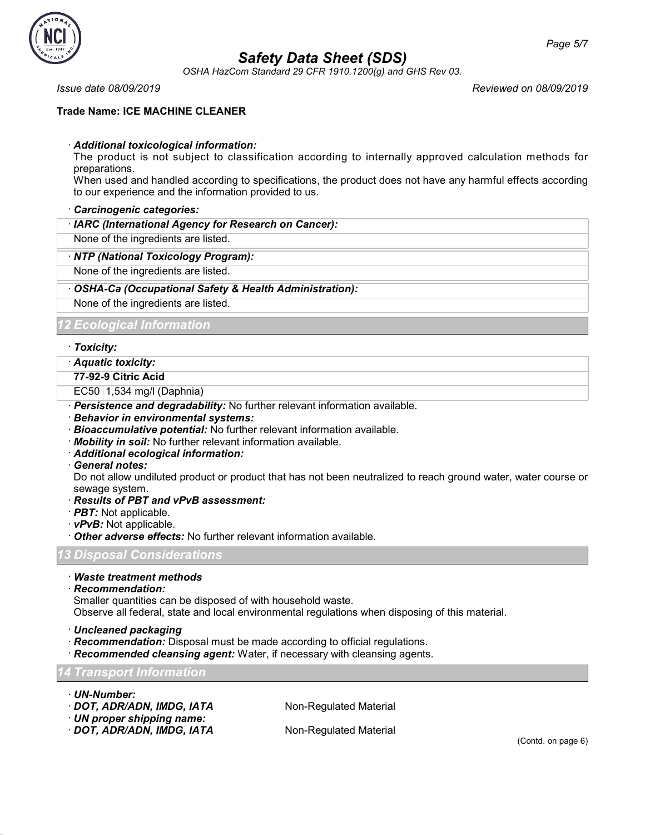

OSHA HazCom Standard 29 CFR 1910.1200(g) and GHS Rev 03.

### **Trade Name: ICE MACHINE CLEANER**

### · Additional toxicological information:

The product is not subject to classification according to internally approved calculation methods for preparations.

When used and handled according to specifications, the product does not have any harmful effects according to our experience and the information provided to us.

### · Carcinogenic categories:

#### · IARC (International Agency for Research on Cancer):

None of the ingredients are listed.

### · NTP (National Toxicology Program):

None of the ingredients are listed.

### · OSHA-Ca (Occupational Safety & Health Administration):

None of the ingredients are listed.

### 12 Ecological Information

### · Toxicity:

· Aquatic toxicity:

### 77-92-9 Citric Acid

EC50 1,534 mg/l (Daphnia)

- · Persistence and degradability: No further relevant information available.
- · Behavior in environmental systems:
- · Bioaccumulative potential: No further relevant information available.
- · Mobility in soil: No further relevant information available.
- · Additional ecological information:
- · General notes:

Do not allow undiluted product or product that has not been neutralized to reach ground water, water course or sewage system.

### · Results of PBT and vPvB assessment:

- · PBT: Not applicable.
- $\cdot$  vPvB: Not applicable.
- $\cdot$  Other adverse effects: No further relevant information available.

13 Disposal Considerations

### · Waste treatment methods

· Recommendation:

Smaller quantities can be disposed of with household waste.

Observe all federal, state and local environmental regulations when disposing of this material.

- · Uncleaned packaging
- · Recommendation: Disposal must be made according to official regulations.
- · Recommended cleansing agent: Water, if necessary with cleansing agents.

### 14 Transport Information

· UN-Number:

49.4.1.1

- · **DOT, ADR/ADN, IMDG, IATA** Non-Regulated Material
- · UN proper shipping name:
- · DOT, ADR/ADN, IMDG, IATA Non-Regulated Material

Issue date 08/09/2019 Reviewed on 08/09/2019

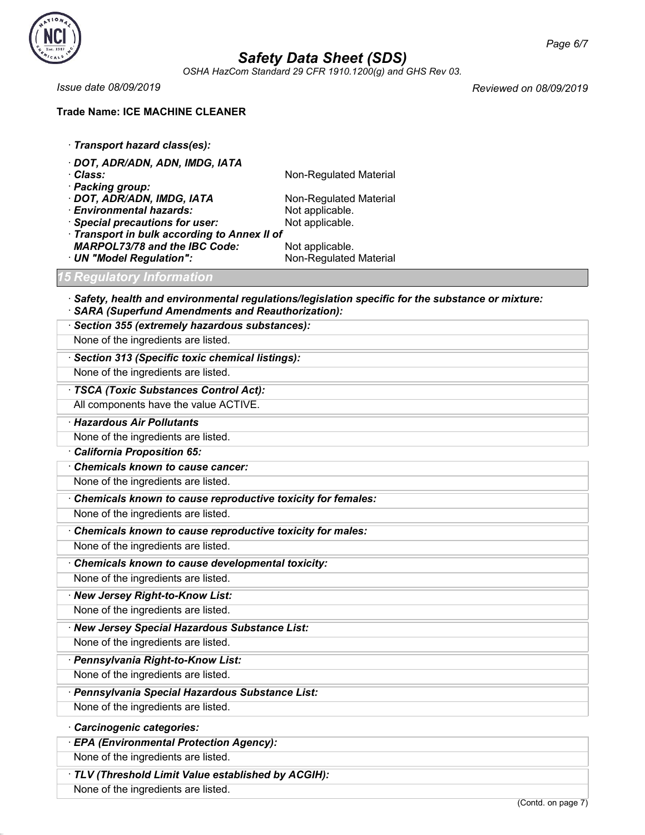

OSHA HazCom Standard 29 CFR 1910.1200(g) and GHS Rev 03.

### **Trade Name: ICE MACHINE CLEANER**

· Transport hazard class(es):

· DOT, ADR/ADN, ADN, IMDG, IATA · Class: Non-Regulated Material · Packing group: · **DOT, ADR/ADN, IMDG, IATA** Non-Regulated Material Non-Regulated Material Non-Regulated Material • **Environmental hazards:** Not applicable.<br>• **Special precautions for user:** Not applicable.  $\cdot$  Special precautions for user: · Transport in bulk according to Annex II of **MARPOL73/78 and the IBC Code:** Not applicable.<br> **UN "Model Regulation":** Non-Regulated Material  $\cdot$  UN "Model Regulation":

<u>5 Regulatory Inf</u>ormation

Issue date 08/09/2019 Reviewed on 08/09/2019

 $\cdot$  Safety, health and environmental regulations/legislation specific for the substance or mixture: · SARA (Superfund Amendments and Reauthorization):

| · Section 355 (extremely hazardous substances):             |
|-------------------------------------------------------------|
| None of the ingredients are listed.                         |
| · Section 313 (Specific toxic chemical listings):           |
| None of the ingredients are listed.                         |
| · TSCA (Toxic Substances Control Act):                      |
| All components have the value ACTIVE.                       |
| · Hazardous Air Pollutants                                  |
| None of the ingredients are listed.                         |
| California Proposition 65:                                  |
| Chemicals known to cause cancer:                            |
| None of the ingredients are listed.                         |
| Chemicals known to cause reproductive toxicity for females: |
| None of the ingredients are listed.                         |
| Chemicals known to cause reproductive toxicity for males:   |
| None of the ingredients are listed.                         |
| Chemicals known to cause developmental toxicity:            |
| None of the ingredients are listed.                         |
| · New Jersey Right-to-Know List:                            |
| None of the ingredients are listed.                         |
| · New Jersey Special Hazardous Substance List:              |
| None of the ingredients are listed.                         |
| · Pennsylvania Right-to-Know List:                          |
| None of the ingredients are listed.                         |
| · Pennsylvania Special Hazardous Substance List:            |

None of the ingredients are listed.

· Carcinogenic categories:

49.4.1.1

· EPA (Environmental Protection Agency):

None of the ingredients are listed.

· TLV (Threshold Limit Value established by ACGIH):

None of the ingredients are listed.